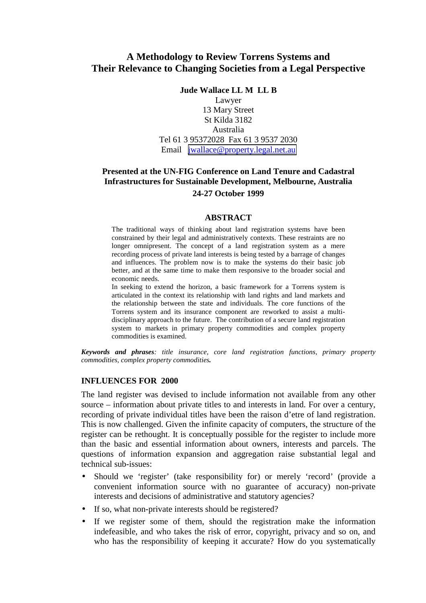# **A Methodology to Review Torrens Systems and Their Relevance to Changing Societies from a Legal Perspective**

**Jude Wallace LL M LL B**

Lawyer 13 Mary Street St Kilda 3182 Australia Tel 61 3 95372028 Fax 61 3 9537 2030 Email [jwallace@property.legal.net.au](mailto:jwallace@property.legal.net.au)

## **Presented at the UN-FIG Conference on Land Tenure and Cadastral Infrastructures for Sustainable Development, Melbourne, Australia 24-27 October 1999**

#### **ABSTRACT**

The traditional ways of thinking about land registration systems have been constrained by their legal and administratively contexts. These restraints are no longer omnipresent. The concept of a land registration system as a mere recording process of private land interests is being tested by a barrage of changes and influences. The problem now is to make the systems do their basic job better, and at the same time to make them responsive to the broader social and economic needs.

In seeking to extend the horizon, a basic framework for a Torrens system is articulated in the context its relationship with land rights and land markets and the relationship between the state and individuals. The core functions of the Torrens system and its insurance component are reworked to assist a multidisciplinary approach to the future. The contribution of a secure land registration system to markets in primary property commodities and complex property commodities is examined.

*Keywords and phrases: title insurance, core land registration functions, primary property commodities, complex property commodities.*

#### **INFLUENCES FOR 2000**

The land register was devised to include information not available from any other source – information about private titles to and interests in land. For over a century, recording of private individual titles have been the raison d'etre of land registration. This is now challenged. Given the infinite capacity of computers, the structure of the register can be rethought. It is conceptually possible for the register to include more than the basic and essential information about owners, interests and parcels. The questions of information expansion and aggregation raise substantial legal and technical sub-issues:

- Should we 'register' (take responsibility for) or merely 'record' (provide a convenient information source with no guarantee of accuracy) non-private interests and decisions of administrative and statutory agencies?
- If so, what non-private interests should be registered?
- If we register some of them, should the registration make the information indefeasible, and who takes the risk of error, copyright, privacy and so on, and who has the responsibility of keeping it accurate? How do you systematically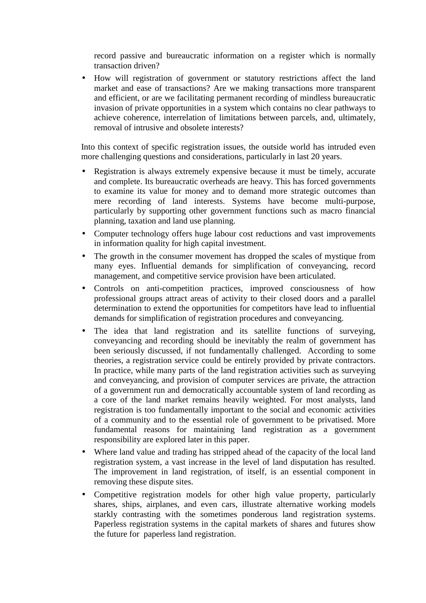record passive and bureaucratic information on a register which is normally transaction driven?

• How will registration of government or statutory restrictions affect the land market and ease of transactions? Are we making transactions more transparent and efficient, or are we facilitating permanent recording of mindless bureaucratic invasion of private opportunities in a system which contains no clear pathways to achieve coherence, interrelation of limitations between parcels, and, ultimately, removal of intrusive and obsolete interests?

Into this context of specific registration issues, the outside world has intruded even more challenging questions and considerations, particularly in last 20 years.

- Registration is always extremely expensive because it must be timely, accurate and complete. Its bureaucratic overheads are heavy. This has forced governments to examine its value for money and to demand more strategic outcomes than mere recording of land interests. Systems have become multi-purpose, particularly by supporting other government functions such as macro financial planning, taxation and land use planning.
- Computer technology offers huge labour cost reductions and vast improvements in information quality for high capital investment.
- The growth in the consumer movement has dropped the scales of mystique from many eyes. Influential demands for simplification of conveyancing, record management, and competitive service provision have been articulated.
- Controls on anti-competition practices, improved consciousness of how professional groups attract areas of activity to their closed doors and a parallel determination to extend the opportunities for competitors have lead to influential demands for simplification of registration procedures and conveyancing.
- The idea that land registration and its satellite functions of surveying, conveyancing and recording should be inevitably the realm of government has been seriously discussed, if not fundamentally challenged. According to some theories, a registration service could be entirely provided by private contractors. In practice, while many parts of the land registration activities such as surveying and conveyancing, and provision of computer services are private, the attraction of a government run and democratically accountable system of land recording as a core of the land market remains heavily weighted. For most analysts, land registration is too fundamentally important to the social and economic activities of a community and to the essential role of government to be privatised. More fundamental reasons for maintaining land registration as a government responsibility are explored later in this paper.
- Where land value and trading has stripped ahead of the capacity of the local land registration system, a vast increase in the level of land disputation has resulted. The improvement in land registration, of itself, is an essential component in removing these dispute sites.
- Competitive registration models for other high value property, particularly shares, ships, airplanes, and even cars, illustrate alternative working models starkly contrasting with the sometimes ponderous land registration systems. Paperless registration systems in the capital markets of shares and futures show the future for paperless land registration.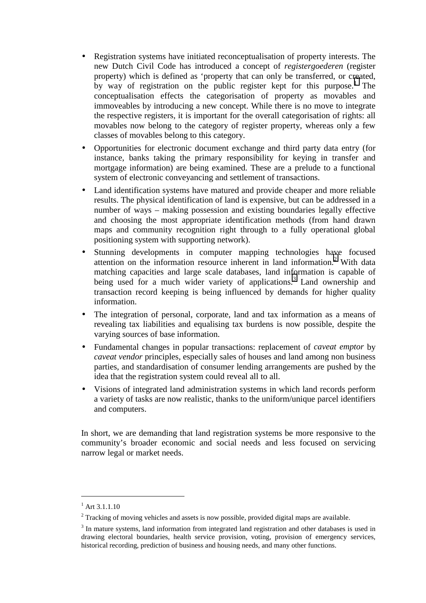- Registration systems have initiated reconceptualisation of property interests. The new Dutch Civil Code has introduced a concept of *registergoederen* (register property) which is defined as 'property that can only be transferred, or created, by way of registration on the public register kept for this purpose.<sup>1</sup> The conceptualisation effects the categorisation of property as movables and immoveables by introducing a new concept. While there is no move to integrate the respective registers, it is important for the overall categorisation of rights: all movables now belong to the category of register property, whereas only a few classes of movables belong to this category.
- Opportunities for electronic document exchange and third party data entry (for instance, banks taking the primary responsibility for keying in transfer and mortgage information) are being examined. These are a prelude to a functional system of electronic conveyancing and settlement of transactions.
- Land identification systems have matured and provide cheaper and more reliable results. The physical identification of land is expensive, but can be addressed in a number of ways – making possession and existing boundaries legally effective and choosing the most appropriate identification methods (from hand drawn maps and community recognition right through to a fully operational global positioning system with supporting network).
- Stunning developments in computer mapping technologies have focused attention on the information resource inherent in land information.<sup>2</sup> With data matching capacities and large scale databases, land information is capable of being used for a much wider variety of applications.<sup>3</sup> Land ownership and transaction record keeping is being influenced by demands for higher quality information.
- The integration of personal, corporate, land and tax information as a means of revealing tax liabilities and equalising tax burdens is now possible, despite the varying sources of base information.
- Fundamental changes in popular transactions: replacement of *caveat emptor* by *caveat vendor* principles, especially sales of houses and land among non business parties, and standardisation of consumer lending arrangements are pushed by the idea that the registration system could reveal all to all.
- Visions of integrated land administration systems in which land records perform a variety of tasks are now realistic, thanks to the uniform/unique parcel identifiers and computers.

In short, we are demanding that land registration systems be more responsive to the community's broader economic and social needs and less focused on servicing narrow legal or market needs.

 $^{1}$  Art 3.1.1.10

 $2^2$  Tracking of moving vehicles and assets is now possible, provided digital maps are available.

<sup>&</sup>lt;sup>3</sup> In mature systems, land information from integrated land registration and other databases is used in drawing electoral boundaries, health service provision, voting, provision of emergency services, historical recording, prediction of business and housing needs, and many other functions.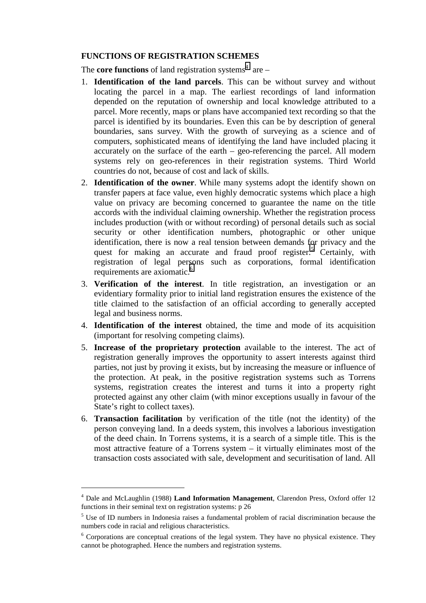## **FUNCTIONS OF REGISTRATION SCHEMES**

The **core functions** of land registration systems<sup>4</sup> are  $-$ 

- 1. **Identification of the land parcels**. This can be without survey and without locating the parcel in a map. The earliest recordings of land information depended on the reputation of ownership and local knowledge attributed to a parcel. More recently, maps or plans have accompanied text recording so that the parcel is identified by its boundaries. Even this can be by description of general boundaries, sans survey. With the growth of surveying as a science and of computers, sophisticated means of identifying the land have included placing it accurately on the surface of the earth – geo-referencing the parcel. All modern systems rely on geo-references in their registration systems. Third World countries do not, because of cost and lack of skills.
- 2. **Identification of the owner**. While many systems adopt the identify shown on transfer papers at face value, even highly democratic systems which place a high value on privacy are becoming concerned to guarantee the name on the title accords with the individual claiming ownership. Whether the registration process includes production (with or without recording) of personal details such as social security or other identification numbers, photographic or other unique identification, there is now a real tension between demands for privacy and the quest for making an accurate and fraud proof register.<sup>5</sup> Certainly, with registration of legal persons such as corporations, formal identification requirements are axiomatic.<sup>6</sup>
- 3. **Verification of the interest**. In title registration, an investigation or an evidentiary formality prior to initial land registration ensures the existence of the title claimed to the satisfaction of an official according to generally accepted legal and business norms.
- 4. **Identification of the interest** obtained, the time and mode of its acquisition (important for resolving competing claims).
- 5. **Increase of the proprietary protection** available to the interest. The act of registration generally improves the opportunity to assert interests against third parties, not just by proving it exists, but by increasing the measure or influence of the protection. At peak, in the positive registration systems such as Torrens systems, registration creates the interest and turns it into a property right protected against any other claim (with minor exceptions usually in favour of the State's right to collect taxes).
- 6. **Transaction facilitation** by verification of the title (not the identity) of the person conveying land. In a deeds system, this involves a laborious investigation of the deed chain. In Torrens systems, it is a search of a simple title. This is the most attractive feature of a Torrens system – it virtually eliminates most of the transaction costs associated with sale, development and securitisation of land. All

<sup>4</sup> Dale and McLaughlin (1988) **Land Information Management**, Clarendon Press, Oxford offer 12 functions in their seminal text on registration systems: p 26

<sup>&</sup>lt;sup>5</sup> Use of ID numbers in Indonesia raises a fundamental problem of racial discrimination because the numbers code in racial and religious characteristics.

<sup>&</sup>lt;sup>6</sup> Corporations are conceptual creations of the legal system. They have no physical existence. They cannot be photographed. Hence the numbers and registration systems.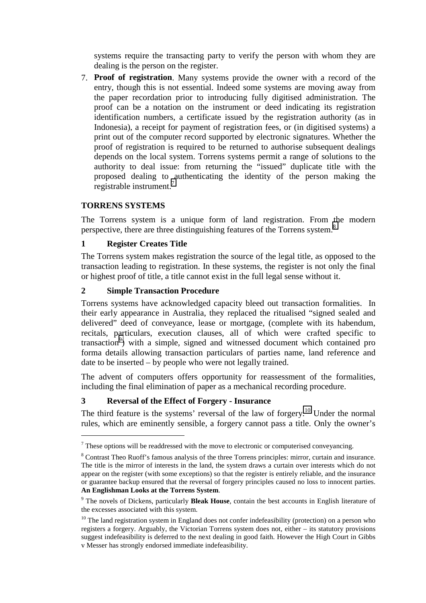systems require the transacting party to verify the person with whom they are dealing is the person on the register.

7. **Proof of registration**. Many systems provide the owner with a record of the entry, though this is not essential. Indeed some systems are moving away from the paper recordation prior to introducing fully digitised administration. The proof can be a notation on the instrument or deed indicating its registration identification numbers, a certificate issued by the registration authority (as in Indonesia), a receipt for payment of registration fees, or (in digitised systems) a print out of the computer record supported by electronic signatures. Whether the proof of registration is required to be returned to authorise subsequent dealings depends on the local system. Torrens systems permit a range of solutions to the authority to deal issue: from returning the "issued" duplicate title with the proposed dealing to authenticating the identity of the person making the registrable instrument.<sup>7</sup>

## **TORRENS SYSTEMS**

 $\overline{a}$ 

The Torrens system is a unique form of land registration. From the modern perspective, there are three distinguishing features of the Torrens system.<sup>8</sup>

## **1 Register Creates Title**

The Torrens system makes registration the source of the legal title, as opposed to the transaction leading to registration. In these systems, the register is not only the final or highest proof of title, a title cannot exist in the full legal sense without it.

## **2 Simple Transaction Procedure**

Torrens systems have acknowledged capacity bleed out transaction formalities. In their early appearance in Australia, they replaced the ritualised "signed sealed and delivered" deed of conveyance, lease or mortgage, (complete with its habendum, recitals, particulars, execution clauses, all of which were crafted specific to transaction<sup>9</sup>) with a simple, signed and witnessed document which contained pro forma details allowing transaction particulars of parties name, land reference and date to be inserted – by people who were not legally trained.

The advent of computers offers opportunity for reassessment of the formalities, including the final elimination of paper as a mechanical recording procedure.

## **3 Reversal of the Effect of Forgery - Insurance**

The third feature is the systems' reversal of the law of forgery.<sup>10</sup> Under the normal rules, which are eminently sensible, a forgery cannot pass a title. Only the owner's

 $<sup>7</sup>$  These options will be readdressed with the move to electronic or computerised conveyancing.</sup>

<sup>&</sup>lt;sup>8</sup> Contrast Theo Ruoff's famous analysis of the three Torrens principles: mirror, curtain and insurance. The title is the mirror of interests in the land, the system draws a curtain over interests which do not appear on the register (with some exceptions) so that the register is entirely reliable, and the insurance or guarantee backup ensured that the reversal of forgery principles caused no loss to innocent parties. **An Englishman Looks at the Torrens System**.

<sup>9</sup> The novels of Dickens, particularly **Bleak House**, contain the best accounts in English literature of the excesses associated with this system.

 $10$  The land registration system in England does not confer indefeasibility (protection) on a person who registers a forgery. Arguably, the Victorian Torrens system does not, either – its statutory provisions suggest indefeasibility is deferred to the next dealing in good faith. However the High Court in Gibbs v Messer has strongly endorsed immediate indefeasibility.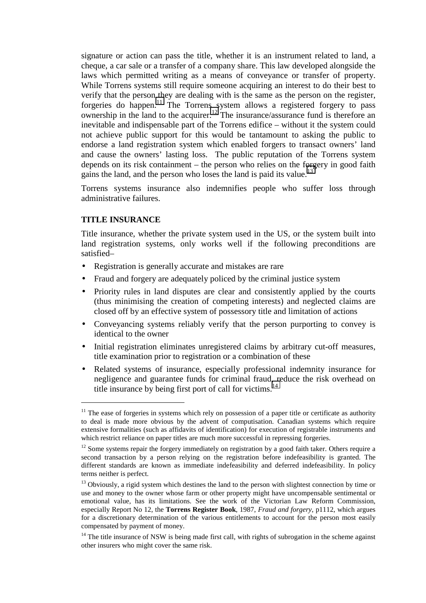signature or action can pass the title, whether it is an instrument related to land, a cheque, a car sale or a transfer of a company share. This law developed alongside the laws which permitted writing as a means of conveyance or transfer of property. While Torrens systems still require someone acquiring an interest to do their best to verify that the person they are dealing with is the same as the person on the register, forgeries do happen.11 The Torrens system allows a registered forgery to pass ownership in the land to the acquirer.<sup>12</sup> The insurance/assurance fund is therefore an inevitable and indispensable part of the Torrens edifice – without it the system could not achieve public support for this would be tantamount to asking the public to endorse a land registration system which enabled forgers to transact owners' land and cause the owners' lasting loss. The public reputation of the Torrens system depends on its risk containment – the person who relies on the forgery in good faith gains the land, and the person who loses the land is paid its value.<sup>13</sup>

Torrens systems insurance also indemnifies people who suffer loss through administrative failures.

## **TITLE INSURANCE**

 $\overline{a}$ 

Title insurance, whether the private system used in the US, or the system built into land registration systems, only works well if the following preconditions are satisfied–

- Registration is generally accurate and mistakes are rare
- Fraud and forgery are adequately policed by the criminal justice system
- Priority rules in land disputes are clear and consistently applied by the courts (thus minimising the creation of competing interests) and neglected claims are closed off by an effective system of possessory title and limitation of actions
- Conveyancing systems reliably verify that the person purporting to convey is identical to the owner
- Initial registration eliminates unregistered claims by arbitrary cut-off measures, title examination prior to registration or a combination of these
- Related systems of insurance, especially professional indemnity insurance for negligence and guarantee funds for criminal fraud, reduce the risk overhead on title insurance by being first port of call for victims.<sup>14</sup>

 $11$  The ease of forgeries in systems which rely on possession of a paper title or certificate as authority to deal is made more obvious by the advent of computisation. Canadian systems which require extensive formalities (such as affidavits of identification) for execution of registrable instruments and which restrict reliance on paper titles are much more successful in repressing forgeries.

<sup>&</sup>lt;sup>12</sup> Some systems repair the forgery immediately on registration by a good faith taker. Others require a second transaction by a person relying on the registration before indefeasibility is granted. The different standards are known as immediate indefeasibility and deferred indefeasibility. In policy terms neither is perfect.

<sup>&</sup>lt;sup>13</sup> Obviously, a rigid system which destines the land to the person with slightest connection by time or use and money to the owner whose farm or other property might have uncompensable sentimental or emotional value, has its limitations. See the work of the Victorian Law Reform Commission, especially Report No 12, the **Torrens Register Book**, 1987, *Fraud and forgery*, p1112, which argues for a discretionary determination of the various entitlements to account for the person most easily compensated by payment of money.

<sup>&</sup>lt;sup>14</sup> The title insurance of NSW is being made first call, with rights of subrogation in the scheme against other insurers who might cover the same risk.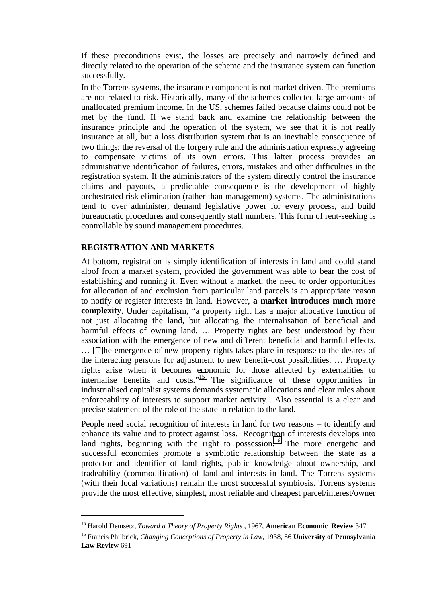If these preconditions exist, the losses are precisely and narrowly defined and directly related to the operation of the scheme and the insurance system can function successfully.

In the Torrens systems, the insurance component is not market driven. The premiums are not related to risk. Historically, many of the schemes collected large amounts of unallocated premium income. In the US, schemes failed because claims could not be met by the fund. If we stand back and examine the relationship between the insurance principle and the operation of the system, we see that it is not really insurance at all, but a loss distribution system that is an inevitable consequence of two things: the reversal of the forgery rule and the administration expressly agreeing to compensate victims of its own errors. This latter process provides an administrative identification of failures, errors, mistakes and other difficulties in the registration system. If the administrators of the system directly control the insurance claims and payouts, a predictable consequence is the development of highly orchestrated risk elimination (rather than management) systems. The administrations tend to over administer, demand legislative power for every process, and build bureaucratic procedures and consequently staff numbers. This form of rent-seeking is controllable by sound management procedures.

## **REGISTRATION AND MARKETS**

 $\overline{a}$ 

At bottom, registration is simply identification of interests in land and could stand aloof from a market system, provided the government was able to bear the cost of establishing and running it. Even without a market, the need to order opportunities for allocation of and exclusion from particular land parcels is an appropriate reason to notify or register interests in land. However, **a market introduces much more complexity**. Under capitalism, "a property right has a major allocative function of not just allocating the land, but allocating the internalisation of beneficial and harmful effects of owning land. … Property rights are best understood by their association with the emergence of new and different beneficial and harmful effects. … [T]he emergence of new property rights takes place in response to the desires of the interacting persons for adjustment to new benefit-cost possibilities. … Property rights arise when it becomes economic for those affected by externalities to internalise benefits and costs."15 The significance of these opportunities in industrialised capitalist systems demands systematic allocations and clear rules about enforceability of interests to support market activity. Also essential is a clear and precise statement of the role of the state in relation to the land.

People need social recognition of interests in land for two reasons – to identify and enhance its value and to protect against loss. Recognition of interests develops into land rights, beginning with the right to possession.<sup>16</sup> The more energetic and successful economies promote a symbiotic relationship between the state as a protector and identifier of land rights, public knowledge about ownership, and tradeability (commodification) of land and interests in land. The Torrens systems (with their local variations) remain the most successful symbiosis. Torrens systems provide the most effective, simplest, most reliable and cheapest parcel/interest/owner

<sup>15</sup> Harold Demsetz, *Toward a Theory of Property Rights* , 1967, **American Economic Review** 347

<sup>16</sup> Francis Philbrick, *Changing Conceptions of Property in Law*, 1938, 86 **University of Pennsylvania Law Review** 691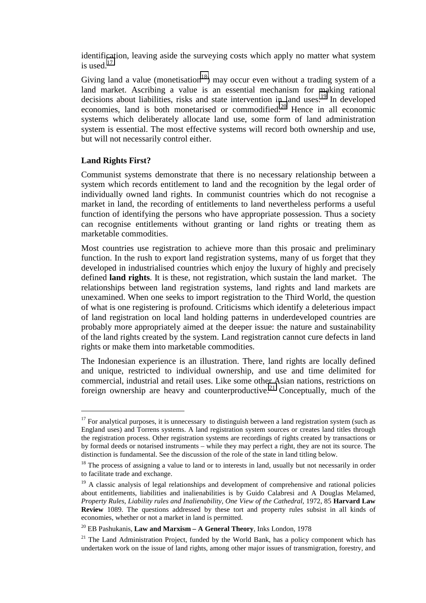identification, leaving aside the surveying costs which apply no matter what system is used  $^{17}$ 

Giving land a value (monetisation<sup>18</sup>) may occur even without a trading system of a land market. Ascribing a value is an essential mechanism for making rational decisions about liabilities, risks and state intervention in land uses.<sup>19</sup> In developed economies, land is both monetarised or commodified.<sup>20</sup> Hence in all economic systems which deliberately allocate land use, some form of land administration system is essential. The most effective systems will record both ownership and use, but will not necessarily control either.

#### **Land Rights First?**

 $\overline{a}$ 

Communist systems demonstrate that there is no necessary relationship between a system which records entitlement to land and the recognition by the legal order of individually owned land rights. In communist countries which do not recognise a market in land, the recording of entitlements to land nevertheless performs a useful function of identifying the persons who have appropriate possession. Thus a society can recognise entitlements without granting or land rights or treating them as marketable commodities.

Most countries use registration to achieve more than this prosaic and preliminary function. In the rush to export land registration systems, many of us forget that they developed in industrialised countries which enjoy the luxury of highly and precisely defined **land rights**. It is these, not registration, which sustain the land market. The relationships between land registration systems, land rights and land markets are unexamined. When one seeks to import registration to the Third World, the question of what is one registering is profound. Criticisms which identify a deleterious impact of land registration on local land holding patterns in underdeveloped countries are probably more appropriately aimed at the deeper issue: the nature and sustainability of the land rights created by the system. Land registration cannot cure defects in land rights or make them into marketable commodities.

The Indonesian experience is an illustration. There, land rights are locally defined and unique, restricted to individual ownership, and use and time delimited for commercial, industrial and retail uses. Like some other Asian nations, restrictions on foreign ownership are heavy and counterproductive.<sup>21</sup> Conceptually, much of the

 $17$  For analytical purposes, it is unnecessary to distinguish between a land registration system (such as England uses) and Torrens systems. A land registration system sources or creates land titles through the registration process. Other registration systems are recordings of rights created by transactions or by formal deeds or notarised instruments – while they may perfect a right, they are not its source. The distinction is fundamental. See the discussion of the role of the state in land titling below.

 $18$  The process of assigning a value to land or to interests in land, usually but not necessarily in order to facilitate trade and exchange.

<sup>&</sup>lt;sup>19</sup> A classic analysis of legal relationships and development of comprehensive and rational policies about entitlements, liabilities and inalienabilities is by Guido Calabresi and A Douglas Melamed, *Property Rules, Liability rules and Inalienability, One View of the Cathedral*, 1972, 85 **Harvard Law Review** 1089. The questions addressed by these tort and property rules subsist in all kinds of economies, whether or not a market in land is permitted.

<sup>20</sup> EB Pashukanis, **Law and Marxism – A General Theory**, Inks London, 1978

 $21$  The Land Administration Project, funded by the World Bank, has a policy component which has undertaken work on the issue of land rights, among other major issues of transmigration, forestry, and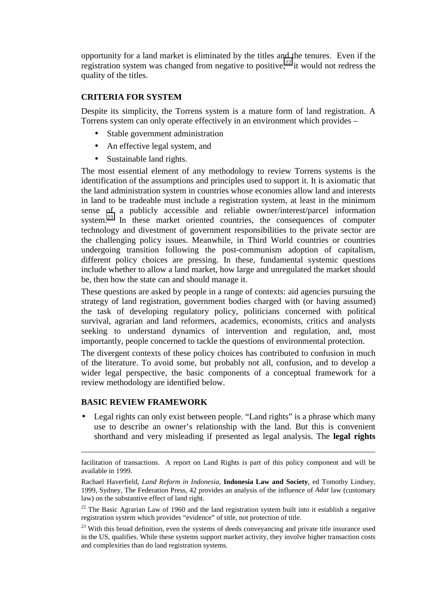opportunity for a land market is eliminated by the titles and the tenures. Even if the registration system was changed from negative to positive,<sup>22</sup> it would not redress the quality of the titles.

## **CRITERIA FOR SYSTEM**

Despite its simplicity, the Torrens system is a mature form of land registration. A Torrens system can only operate effectively in an environment which provides –

- Stable government administration
- An effective legal system, and
- Sustainable land rights.

The most essential element of any methodology to review Torrens systems is the identification of the assumptions and principles used to support it. It is axiomatic that the land administration system in countries whose economies allow land and interests in land to be tradeable must include a registration system, at least in the minimum sense of a publicly accessible and reliable owner/interest/parcel information system.<sup>23</sup> In these market oriented countries, the consequences of computer technology and divestment of government responsibilities to the private sector are the challenging policy issues. Meanwhile, in Third World countries or countries undergoing transition following the post-communism adoption of capitalism, different policy choices are pressing. In these, fundamental systemic questions include whether to allow a land market, how large and unregulated the market should be, then how the state can and should manage it.

These questions are asked by people in a range of contexts: aid agencies pursuing the strategy of land registration, government bodies charged with (or having assumed) the task of developing regulatory policy, politicians concerned with political survival, agrarian and land reformers, academics, economists, critics and analysts seeking to understand dynamics of intervention and regulation, and, most importantly, people concerned to tackle the questions of environmental protection.

The divergent contexts of these policy choices has contributed to confusion in much of the literature. To avoid some, but probably not all, confusion, and to develop a wider legal perspective, the basic components of a conceptual framework for a review methodology are identified below.

## **BASIC REVIEW FRAMEWORK**

 $\overline{a}$ 

• Legal rights can only exist between people. "Land rights" is a phrase which many use to describe an owner's relationship with the land. But this is convenient shorthand and very misleading if presented as legal analysis. The **legal rights**

facilitation of transactions. A report on Land Rights is part of this policy component and will be available in 1999.

Rachael Haverfield, *Land Reform in Indonesia*, **Indonesia Law and Society**, ed Tomothy Lindsey, 1999, Sydney, The Federation Press, 42 provides an analysis of the influence of *Adat* law (customary law) on the substantive effect of land right.

 $22$  The Basic Agrarian Law of 1960 and the land registration system built into it establish a negative registration system which provides "evidence" of title, not protection of title.

 $23$  With this broad definition, even the systems of deeds conveyancing and private title insurance used in the US, qualifies. While these systems support market activity, they involve higher transaction costs and complexities than do land registration systems.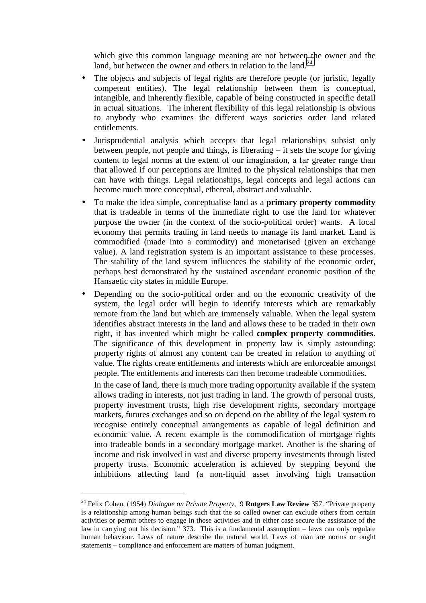which give this common language meaning are not between the owner and the land, but between the owner and others in relation to the land.<sup>24</sup>

- The objects and subjects of legal rights are therefore people (or juristic, legally competent entities). The legal relationship between them is conceptual, intangible, and inherently flexible, capable of being constructed in specific detail in actual situations. The inherent flexibility of this legal relationship is obvious to anybody who examines the different ways societies order land related entitlements.
- Jurisprudential analysis which accepts that legal relationships subsist only between people, not people and things, is liberating – it sets the scope for giving content to legal norms at the extent of our imagination, a far greater range than that allowed if our perceptions are limited to the physical relationships that men can have with things. Legal relationships, legal concepts and legal actions can become much more conceptual, ethereal, abstract and valuable.
- To make the idea simple, conceptualise land as a **primary property commodity** that is tradeable in terms of the immediate right to use the land for whatever purpose the owner (in the context of the socio-political order) wants. A local economy that permits trading in land needs to manage its land market. Land is commodified (made into a commodity) and monetarised (given an exchange value). A land registration system is an important assistance to these processes. The stability of the land system influences the stability of the economic order, perhaps best demonstrated by the sustained ascendant economic position of the Hansaetic city states in middle Europe.
- Depending on the socio-political order and on the economic creativity of the system, the legal order will begin to identify interests which are remarkably remote from the land but which are immensely valuable. When the legal system identifies abstract interests in the land and allows these to be traded in their own right, it has invented which might be called **complex property commodities**. The significance of this development in property law is simply astounding: property rights of almost any content can be created in relation to anything of value. The rights create entitlements and interests which are enforceable amongst people. The entitlements and interests can then become tradeable commodities.

In the case of land, there is much more trading opportunity available if the system allows trading in interests, not just trading in land. The growth of personal trusts, property investment trusts, high rise development rights, secondary mortgage markets, futures exchanges and so on depend on the ability of the legal system to recognise entirely conceptual arrangements as capable of legal definition and economic value. A recent example is the commodification of mortgage rights into tradeable bonds in a secondary mortgage market. Another is the sharing of income and risk involved in vast and diverse property investments through listed property trusts. Economic acceleration is achieved by stepping beyond the inhibitions affecting land (a non-liquid asset involving high transaction

<sup>24</sup> Felix Cohen, (1954) *Dialogue on Private Property*, 9 **Rutgers Law Review** 357. "Private property is a relationship among human beings such that the so called owner can exclude others from certain activities or permit others to engage in those activities and in either case secure the assistance of the law in carrying out his decision." 373. This is a fundamental assumption – laws can only regulate human behaviour. Laws of nature describe the natural world. Laws of man are norms or ought statements – compliance and enforcement are matters of human judgment.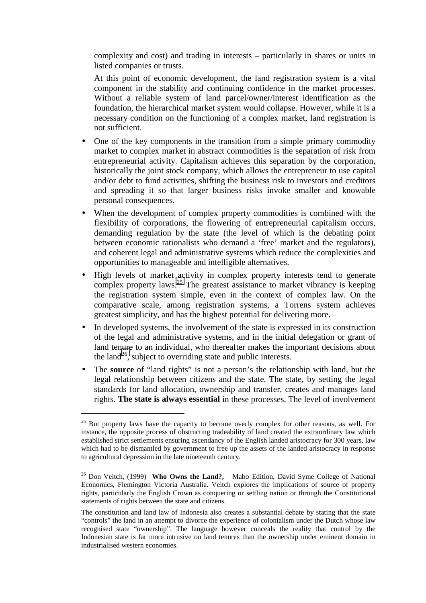complexity and cost) and trading in interests – particularly in shares or units in listed companies or trusts.

At this point of economic development, the land registration system is a vital component in the stability and continuing confidence in the market processes. Without a reliable system of land parcel/owner/interest identification as the foundation, the hierarchical market system would collapse. However, while it is a necessary condition on the functioning of a complex market, land registration is not sufficient.

- One of the key components in the transition from a simple primary commodity market to complex market in abstract commodities is the separation of risk from entrepreneurial activity. Capitalism achieves this separation by the corporation, historically the joint stock company, which allows the entrepreneur to use capital and/or debt to fund activities, shifting the business risk to investors and creditors and spreading it so that larger business risks invoke smaller and knowable personal consequences.
- When the development of complex property commodities is combined with the flexibility of corporations, the flowering of entrepreneurial capitalism occurs, demanding regulation by the state (the level of which is the debating point between economic rationalists who demand a 'free' market and the regulators), and coherent legal and administrative systems which reduce the complexities and opportunities to manageable and intelligible alternatives.
- High levels of market activity in complex property interests tend to generate complex property laws.<sup>25</sup> The greatest assistance to market vibrancy is keeping the registration system simple, even in the context of complex law. On the comparative scale, among registration systems, a Torrens system achieves greatest simplicity, and has the highest potential for delivering more.
- In developed systems, the involvement of the state is expressed in its construction of the legal and administrative systems, and in the initial delegation or grant of land tenure to an individual, who thereafter makes the important decisions about the land<sup>26</sup>, subject to overriding state and public interests.
- The **source** of "land rights" is not a person's the relationship with land, but the legal relationship between citizens and the state. The state, by setting the legal standards for land allocation, ownership and transfer, creates and manages land rights. **The state is always essential** in these processes. The level of involvement

 $25$  But property laws have the capacity to become overly complex for other reasons, as well. For instance, the opposite process of obstructing tradeability of land created the extraordinary law which established strict settlements ensuring ascendancy of the English landed aristocracy for 300 years, law which had to be dismantled by government to free up the assets of the landed aristocracy in response to agricultural depression in the late nineteenth century.

<sup>26</sup> Don Veitch, (1999) **Who Owns the Land?,** Mabo Edition, David Syme College of National Economics, Flemington Victoria Australia. Veitch explores the implications of source of property rights, particularly the English Crown as conquering or settling nation or through the Constitutional statements of rights between the state and citizens.

The constitution and land law of Indonesia also creates a substantial debate by stating that the state "controls" the land in an attempt to divorce the experience of colonialism under the Dutch whose law recognised state "ownership". The language however conceals the reality that control by the Indonesian state is far more intrusive on land tenures than the ownership under eminent domain in industrialised western economies.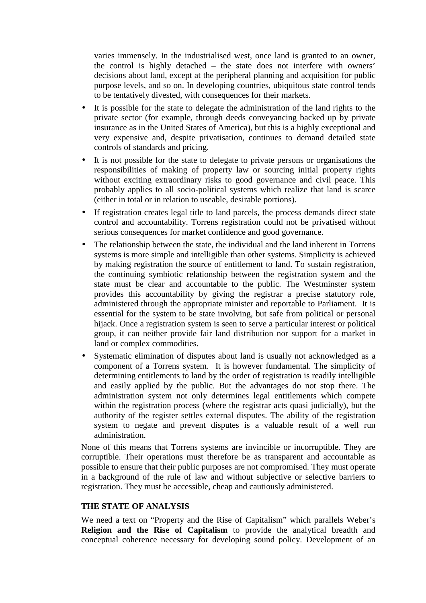varies immensely. In the industrialised west, once land is granted to an owner, the control is highly detached – the state does not interfere with owners' decisions about land, except at the peripheral planning and acquisition for public purpose levels, and so on. In developing countries, ubiquitous state control tends to be tentatively divested, with consequences for their markets.

- It is possible for the state to delegate the administration of the land rights to the private sector (for example, through deeds conveyancing backed up by private insurance as in the United States of America), but this is a highly exceptional and very expensive and, despite privatisation, continues to demand detailed state controls of standards and pricing.
- It is not possible for the state to delegate to private persons or organisations the responsibilities of making of property law or sourcing initial property rights without exciting extraordinary risks to good governance and civil peace. This probably applies to all socio-political systems which realize that land is scarce (either in total or in relation to useable, desirable portions).
- If registration creates legal title to land parcels, the process demands direct state control and accountability. Torrens registration could not be privatised without serious consequences for market confidence and good governance.
- The relationship between the state, the individual and the land inherent in Torrens systems is more simple and intelligible than other systems. Simplicity is achieved by making registration the source of entitlement to land. To sustain registration, the continuing symbiotic relationship between the registration system and the state must be clear and accountable to the public. The Westminster system provides this accountability by giving the registrar a precise statutory role, administered through the appropriate minister and reportable to Parliament. It is essential for the system to be state involving, but safe from political or personal hijack. Once a registration system is seen to serve a particular interest or political group, it can neither provide fair land distribution nor support for a market in land or complex commodities.
- Systematic elimination of disputes about land is usually not acknowledged as a component of a Torrens system. It is however fundamental. The simplicity of determining entitlements to land by the order of registration is readily intelligible and easily applied by the public. But the advantages do not stop there. The administration system not only determines legal entitlements which compete within the registration process (where the registrar acts quasi judicially), but the authority of the register settles external disputes. The ability of the registration system to negate and prevent disputes is a valuable result of a well run administration.

None of this means that Torrens systems are invincible or incorruptible. They are corruptible. Their operations must therefore be as transparent and accountable as possible to ensure that their public purposes are not compromised. They must operate in a background of the rule of law and without subjective or selective barriers to registration. They must be accessible, cheap and cautiously administered.

#### **THE STATE OF ANALYSIS**

We need a text on "Property and the Rise of Capitalism" which parallels Weber's **Religion and the Rise of Capitalism** to provide the analytical breadth and conceptual coherence necessary for developing sound policy. Development of an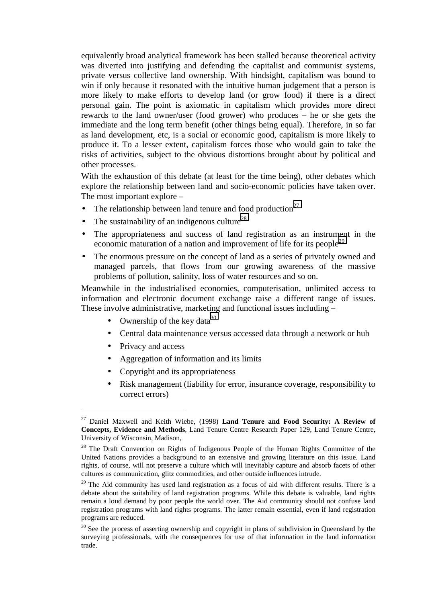equivalently broad analytical framework has been stalled because theoretical activity was diverted into justifying and defending the capitalist and communist systems, private versus collective land ownership. With hindsight, capitalism was bound to win if only because it resonated with the intuitive human judgement that a person is more likely to make efforts to develop land (or grow food) if there is a direct personal gain. The point is axiomatic in capitalism which provides more direct rewards to the land owner/user (food grower) who produces – he or she gets the immediate and the long term benefit (other things being equal). Therefore, in so far as land development, etc, is a social or economic good, capitalism is more likely to produce it. To a lesser extent, capitalism forces those who would gain to take the risks of activities, subject to the obvious distortions brought about by political and other processes.

With the exhaustion of this debate (at least for the time being), other debates which explore the relationship between land and socio-economic policies have taken over. The most important explore –

- The relationship between land tenure and food production<sup>27</sup>
- The sustainability of an indigenous culture<sup>28</sup>
- The appropriateness and success of land registration as an instrument in the economic maturation of a nation and improvement of life for its people<sup>29</sup>
- The enormous pressure on the concept of land as a series of privately owned and managed parcels, that flows from our growing awareness of the massive problems of pollution, salinity, loss of water resources and so on.

Meanwhile in the industrialised economies, computerisation, unlimited access to information and electronic document exchange raise a different range of issues. These involve administrative, marketing and functional issues including –

- Ownership of the key data<sup>30</sup>
- Central data maintenance versus accessed data through a network or hub
- Privacy and access

- Aggregation of information and its limits
- Copyright and its appropriateness
- Risk management (liability for error, insurance coverage, responsibility to correct errors)

<sup>27</sup> Daniel Maxwell and Keith Wiebe, (1998) **Land Tenure and Food Security: A Review of Concepts, Evidence and Methods**, Land Tenure Centre Research Paper 129, Land Tenure Centre, University of Wisconsin, Madison,

<sup>&</sup>lt;sup>28</sup> The Draft Convention on Rights of Indigenous People of the Human Rights Committee of the United Nations provides a background to an extensive and growing literature on this issue. Land rights, of course, will not preserve a culture which will inevitably capture and absorb facets of other cultures as communication, glitz commodities, and other outside influences intrude.

 $29$  The Aid community has used land registration as a focus of aid with different results. There is a debate about the suitability of land registration programs. While this debate is valuable, land rights remain a loud demand by poor people the world over. The Aid community should not confuse land registration programs with land rights programs. The latter remain essential, even if land registration programs are reduced.

 $30$  See the process of asserting ownership and copyright in plans of subdivision in Queensland by the surveying professionals, with the consequences for use of that information in the land information trade.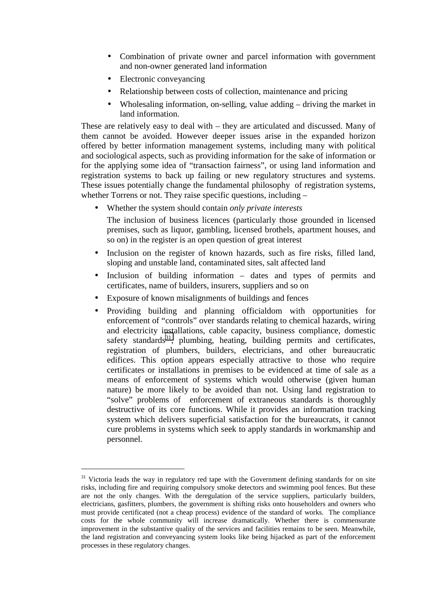- Combination of private owner and parcel information with government and non-owner generated land information
- Electronic conveyancing

 $\overline{a}$ 

- Relationship between costs of collection, maintenance and pricing
- Wholesaling information, on-selling, value adding driving the market in land information.

These are relatively easy to deal with – they are articulated and discussed. Many of them cannot be avoided. However deeper issues arise in the expanded horizon offered by better information management systems, including many with political and sociological aspects, such as providing information for the sake of information or for the applying some idea of "transaction fairness", or using land information and registration systems to back up failing or new regulatory structures and systems. These issues potentially change the fundamental philosophy of registration systems, whether Torrens or not. They raise specific questions, including –

• Whether the system should contain *only private interests*

The inclusion of business licences (particularly those grounded in licensed premises, such as liquor, gambling, licensed brothels, apartment houses, and so on) in the register is an open question of great interest

- Inclusion on the register of known hazards, such as fire risks, filled land, sloping and unstable land, contaminated sites, salt affected land
- Inclusion of building information dates and types of permits and certificates, name of builders, insurers, suppliers and so on
- Exposure of known misalignments of buildings and fences
- Providing building and planning officialdom with opportunities for enforcement of "controls" over standards relating to chemical hazards, wiring and electricity installations, cable capacity, business compliance, domestic safety standards $31$ , plumbing, heating, building permits and certificates, registration of plumbers, builders, electricians, and other bureaucratic edifices. This option appears especially attractive to those who require certificates or installations in premises to be evidenced at time of sale as a means of enforcement of systems which would otherwise (given human nature) be more likely to be avoided than not. Using land registration to "solve" problems of enforcement of extraneous standards is thoroughly destructive of its core functions. While it provides an information tracking system which delivers superficial satisfaction for the bureaucrats, it cannot cure problems in systems which seek to apply standards in workmanship and personnel.

<sup>&</sup>lt;sup>31</sup> Victoria leads the way in regulatory red tape with the Government defining standards for on site risks, including fire and requiring compulsory smoke detectors and swimming pool fences. But these are not the only changes. With the deregulation of the service suppliers, particularly builders, electricians, gasfitters, plumbers, the government is shifting risks onto householders and owners who must provide certificated (not a cheap process) evidence of the standard of works. The compliance costs for the whole community will increase dramatically. Whether there is commensurate improvement in the substantive quality of the services and facilities remains to be seen. Meanwhile, the land registration and conveyancing system looks like being hijacked as part of the enforcement processes in these regulatory changes.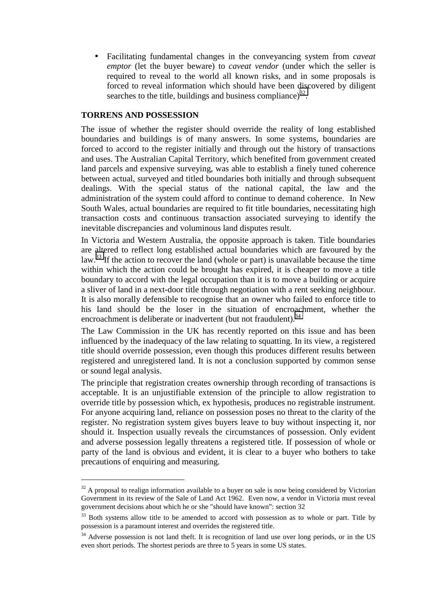• Facilitating fundamental changes in the conveyancing system from *caveat emptor* (let the buyer beware) to *caveat vendor* (under which the seller is required to reveal to the world all known risks, and in some proposals is forced to reveal information which should have been discovered by diligent searches to the title, buildings and business compliance) $^{32}$ .

#### **TORRENS AND POSSESSION**

 $\overline{a}$ 

The issue of whether the register should override the reality of long established boundaries and buildings is of many answers. In some systems, boundaries are forced to accord to the register initially and through out the history of transactions and uses. The Australian Capital Territory, which benefited from government created land parcels and expensive surveying, was able to establish a finely tuned coherence between actual, surveyed and titled boundaries both initially and through subsequent dealings. With the special status of the national capital, the law and the administration of the system could afford to continue to demand coherence. In New South Wales, actual boundaries are required to fit title boundaries, necessitating high transaction costs and continuous transaction associated surveying to identify the inevitable discrepancies and voluminous land disputes result.

In Victoria and Western Australia, the opposite approach is taken. Title boundaries are altered to reflect long established actual boundaries which are favoured by the law.<sup>33</sup> If the action to recover the land (whole or part) is unavailable because the time within which the action could be brought has expired, it is cheaper to move a title boundary to accord with the legal occupation than it is to move a building or acquire a sliver of land in a next-door title through negotiation with a rent seeking neighbour. It is also morally defensible to recognise that an owner who failed to enforce title to his land should be the loser in the situation of encroachment, whether the encroachment is deliberate or inadvertent (but not fraudulent).<sup>34</sup>

The Law Commission in the UK has recently reported on this issue and has been influenced by the inadequacy of the law relating to squatting. In its view, a registered title should override possession, even though this produces different results between registered and unregistered land. It is not a conclusion supported by common sense or sound legal analysis.

The principle that registration creates ownership through recording of transactions is acceptable. It is an unjustifiable extension of the principle to allow registration to override title by possession which, ex hypothesis, produces no registrable instrument. For anyone acquiring land, reliance on possession poses no threat to the clarity of the register. No registration system gives buyers leave to buy without inspecting it, nor should it. Inspection usually reveals the circumstances of possession. Only evident and adverse possession legally threatens a registered title. If possession of whole or party of the land is obvious and evident, it is clear to a buyer who bothers to take precautions of enquiring and measuring.

 $32$  A proposal to realign information available to a buyer on sale is now being considered by Victorian Government in its review of the Sale of Land Act 1962. Even now, a vendor in Victoria must reveal government decisions about which he or she "should have known": section 32

<sup>&</sup>lt;sup>33</sup> Both systems allow title to be amended to accord with possession as to whole or part. Title by possession is a paramount interest and overrides the registered title.

<sup>&</sup>lt;sup>34</sup> Adverse possession is not land theft. It is recognition of land use over long periods, or in the US even short periods. The shortest periods are three to 5 years in some US states.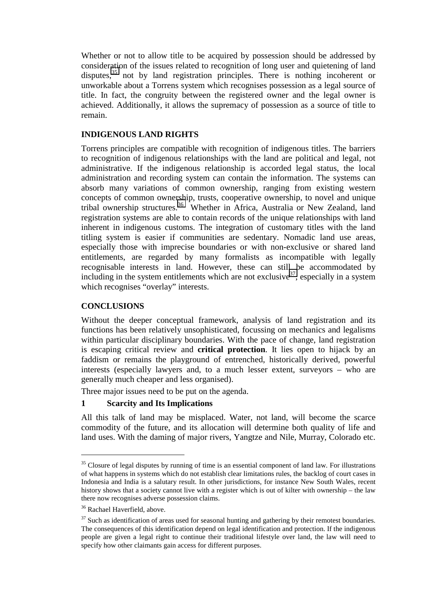Whether or not to allow title to be acquired by possession should be addressed by consideration of the issues related to recognition of long user and quietening of land disputes,<sup>35</sup> not by land registration principles. There is nothing incoherent or unworkable about a Torrens system which recognises possession as a legal source of title. In fact, the congruity between the registered owner and the legal owner is achieved. Additionally, it allows the supremacy of possession as a source of title to remain.

## **INDIGENOUS LAND RIGHTS**

Torrens principles are compatible with recognition of indigenous titles. The barriers to recognition of indigenous relationships with the land are political and legal, not administrative. If the indigenous relationship is accorded legal status, the local administration and recording system can contain the information. The systems can absorb many variations of common ownership, ranging from existing western concepts of common ownership, trusts, cooperative ownership, to novel and unique tribal ownership structures.<sup>36</sup> Whether in Africa, Australia or New Zealand, land registration systems are able to contain records of the unique relationships with land inherent in indigenous customs. The integration of customary titles with the land titling system is easier if communities are sedentary. Nomadic land use areas, especially those with imprecise boundaries or with non-exclusive or shared land entitlements, are regarded by many formalists as incompatible with legally recognisable interests in land. However, these can still be accommodated by including in the system entitlements which are not exclusive<sup>37</sup>, especially in a system which recognises "overlay" interests.

## **CONCLUSIONS**

Without the deeper conceptual framework, analysis of land registration and its functions has been relatively unsophisticated, focussing on mechanics and legalisms within particular disciplinary boundaries. With the pace of change, land registration is escaping critical review and **critical protection**. It lies open to hijack by an faddism or remains the playground of entrenched, historically derived, powerful interests (especially lawyers and, to a much lesser extent, surveyors – who are generally much cheaper and less organised).

Three major issues need to be put on the agenda.

#### **1 Scarcity and Its Implications**

All this talk of land may be misplaced. Water, not land, will become the scarce commodity of the future, and its allocation will determine both quality of life and land uses. With the daming of major rivers, Yangtze and Nile, Murray, Colorado etc.

 $35$  Closure of legal disputes by running of time is an essential component of land law. For illustrations of what happens in systems which do not establish clear limitations rules, the backlog of court cases in Indonesia and India is a salutary result. In other jurisdictions, for instance New South Wales, recent history shows that a society cannot live with a register which is out of kilter with ownership – the law there now recognises adverse possession claims.

<sup>36</sup> Rachael Haverfield, above.

 $37$  Such as identification of areas used for seasonal hunting and gathering by their remotest boundaries. The consequences of this identification depend on legal identification and protection. If the indigenous people are given a legal right to continue their traditional lifestyle over land, the law will need to specify how other claimants gain access for different purposes.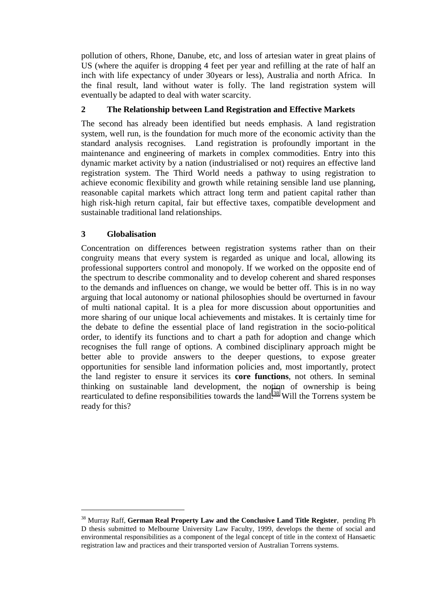pollution of others, Rhone, Danube, etc, and loss of artesian water in great plains of US (where the aquifer is dropping 4 feet per year and refilling at the rate of half an inch with life expectancy of under 30years or less), Australia and north Africa. In the final result, land without water is folly. The land registration system will eventually be adapted to deal with water scarcity.

## **2 The Relationship between Land Registration and Effective Markets**

The second has already been identified but needs emphasis. A land registration system, well run, is the foundation for much more of the economic activity than the standard analysis recognises. Land registration is profoundly important in the maintenance and engineering of markets in complex commodities. Entry into this dynamic market activity by a nation (industrialised or not) requires an effective land registration system. The Third World needs a pathway to using registration to achieve economic flexibility and growth while retaining sensible land use planning, reasonable capital markets which attract long term and patient capital rather than high risk-high return capital, fair but effective taxes, compatible development and sustainable traditional land relationships.

## **3 Globalisation**

 $\overline{a}$ 

Concentration on differences between registration systems rather than on their congruity means that every system is regarded as unique and local, allowing its professional supporters control and monopoly. If we worked on the opposite end of the spectrum to describe commonality and to develop coherent and shared responses to the demands and influences on change, we would be better off. This is in no way arguing that local autonomy or national philosophies should be overturned in favour of multi national capital. It is a plea for more discussion about opportunities and more sharing of our unique local achievements and mistakes. It is certainly time for the debate to define the essential place of land registration in the socio-political order, to identify its functions and to chart a path for adoption and change which recognises the full range of options. A combined disciplinary approach might be better able to provide answers to the deeper questions, to expose greater opportunities for sensible land information policies and, most importantly, protect the land register to ensure it services its **core functions**, not others. In seminal thinking on sustainable land development, the notion of ownership is being rearticulated to define responsibilities towards the land.<sup>38</sup> Will the Torrens system be ready for this?

<sup>38</sup> Murray Raff, **German Real Property Law and the Conclusive Land Title Register**, pending Ph D thesis submitted to Melbourne University Law Faculty, 1999, develops the theme of social and environmental responsibilities as a component of the legal concept of title in the context of Hansaetic registration law and practices and their transported version of Australian Torrens systems.